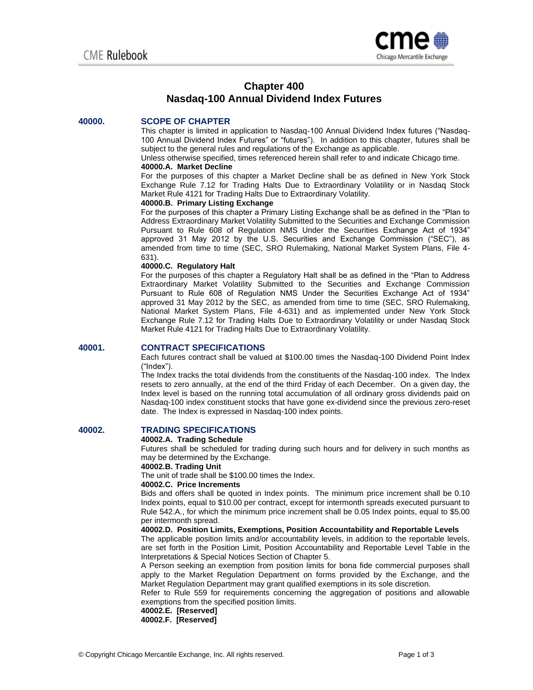

# **Chapter 400 Nasdaq-100 Annual Dividend Index Futures**

### **40000. SCOPE OF CHAPTER**

This chapter is limited in application to Nasdaq-100 Annual Dividend Index futures ("Nasdaq-100 Annual Dividend Index Futures" or "futures"). In addition to this chapter, futures shall be subject to the general rules and regulations of the Exchange as applicable.

Unless otherwise specified, times referenced herein shall refer to and indicate Chicago time.

### **40000.A. Market Decline**

For the purposes of this chapter a Market Decline shall be as defined in New York Stock Exchange Rule 7.12 for Trading Halts Due to Extraordinary Volatility or in Nasdaq Stock Market Rule 4121 for Trading Halts Due to Extraordinary Volatility.

#### **40000.B. Primary Listing Exchange**

For the purposes of this chapter a Primary Listing Exchange shall be as defined in the "Plan to Address Extraordinary Market Volatility Submitted to the Securities and Exchange Commission Pursuant to Rule 608 of Regulation NMS Under the Securities Exchange Act of 1934" approved 31 May 2012 by the U.S. Securities and Exchange Commission ("SEC"), as amended from time to time (SEC, SRO Rulemaking, National Market System Plans, File 4- 631).

# **40000.C. Regulatory Halt**

For the purposes of this chapter a Regulatory Halt shall be as defined in the "Plan to Address Extraordinary Market Volatility Submitted to the Securities and Exchange Commission Pursuant to Rule 608 of Regulation NMS Under the Securities Exchange Act of 1934" approved 31 May 2012 by the SEC, as amended from time to time (SEC, SRO Rulemaking, National Market System Plans, File 4-631) and as implemented under New York Stock Exchange Rule 7.12 for Trading Halts Due to Extraordinary Volatility or under Nasdaq Stock Market Rule 4121 for Trading Halts Due to Extraordinary Volatility.

#### **40001. CONTRACT SPECIFICATIONS**

Each futures contract shall be valued at \$100.00 times the Nasdaq-100 Dividend Point Index ("Index").

The Index tracks the total dividends from the constituents of the Nasdaq-100 index. The Index resets to zero annually, at the end of the third Friday of each December. On a given day, the Index level is based on the running total accumulation of all ordinary gross dividends paid on Nasdaq-100 index constituent stocks that have gone ex-dividend since the previous zero-reset date. The Index is expressed in Nasdaq-100 index points.

### **40002. TRADING SPECIFICATIONS**

#### **40002.A. Trading Schedule**

Futures shall be scheduled for trading during such hours and for delivery in such months as may be determined by the Exchange.

#### **40002.B. Trading Unit**

The unit of trade shall be \$100.00 times the Index.

#### **40002.C. Price Increments**

Bids and offers shall be quoted in Index points. The minimum price increment shall be 0.10 Index points, equal to \$10.00 per contract, except for intermonth spreads executed pursuant to Rule 542.A., for which the minimum price increment shall be 0.05 Index points, equal to \$5.00 per intermonth spread.

#### **40002.D. Position Limits, Exemptions, Position Accountability and Reportable Levels**

The applicable position limits and/or accountability levels, in addition to the reportable levels, are set forth in the Position Limit, Position Accountability and Reportable Level Table in the Interpretations & Special Notices Section of Chapter 5.

A Person seeking an exemption from position limits for bona fide commercial purposes shall apply to the Market Regulation Department on forms provided by the Exchange, and the Market Regulation Department may grant qualified exemptions in its sole discretion.

Refer to Rule 559 for requirements concerning the aggregation of positions and allowable exemptions from the specified position limits.

#### **40002.E. [Reserved]**

**40002.F. [Reserved]**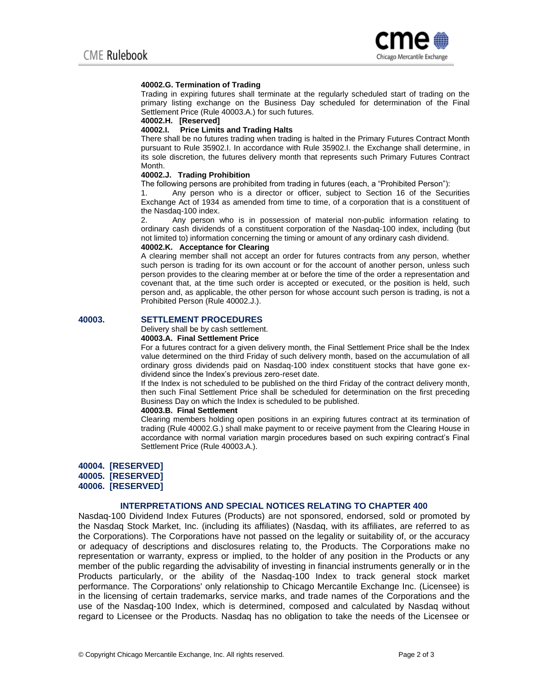

### **40002.G. Termination of Trading**

Trading in expiring futures shall terminate at the regularly scheduled start of trading on the primary listing exchange on the Business Day scheduled for determination of the Final Settlement Price (Rule 40003.A.) for such futures.

#### **40002.H. [Reserved]**

#### **40002.I. Price Limits and Trading Halts**

There shall be no futures trading when trading is halted in the Primary Futures Contract Month pursuant to Rule 35902.I. In accordance with Rule 35902.I. the Exchange shall determine, in its sole discretion, the futures delivery month that represents such Primary Futures Contract Month.

#### **40002.J. Trading Prohibition**

The following persons are prohibited from trading in futures (each, a "Prohibited Person"):

1. Any person who is a director or officer, subject to Section 16 of the Securities Exchange Act of 1934 as amended from time to time, of a corporation that is a constituent of the Nasdaq-100 index.

2. Any person who is in possession of material non-public information relating to ordinary cash dividends of a constituent corporation of the Nasdaq-100 index, including (but not limited to) information concerning the timing or amount of any ordinary cash dividend.

### **40002.K. Acceptance for Clearing**

A clearing member shall not accept an order for futures contracts from any person, whether such person is trading for its own account or for the account of another person, unless such person provides to the clearing member at or before the time of the order a representation and covenant that, at the time such order is accepted or executed, or the position is held, such person and, as applicable, the other person for whose account such person is trading, is not a Prohibited Person (Rule 40002.J.).

#### **40003. SETTLEMENT PROCEDURES**

# Delivery shall be by cash settlement.

# **40003.A. Final Settlement Price**

For a futures contract for a given delivery month, the Final Settlement Price shall be the Index value determined on the third Friday of such delivery month, based on the accumulation of all ordinary gross dividends paid on Nasdaq-100 index constituent stocks that have gone exdividend since the Index's previous zero-reset date.

If the Index is not scheduled to be published on the third Friday of the contract delivery month, then such Final Settlement Price shall be scheduled for determination on the first preceding Business Day on which the Index is scheduled to be published.

#### **40003.B. Final Settlement**

Clearing members holding open positions in an expiring futures contract at its termination of trading (Rule 40002.G.) shall make payment to or receive payment from the Clearing House in accordance with normal variation margin procedures based on such expiring contract's Final Settlement Price (Rule 40003.A.).

#### **40004. [RESERVED]**

**40005. [RESERVED]** 

**40006. [RESERVED]** 

## **INTERPRETATIONS AND SPECIAL NOTICES RELATING TO CHAPTER 400**

Nasdaq-100 Dividend Index Futures (Products) are not sponsored, endorsed, sold or promoted by the Nasdaq Stock Market, Inc. (including its affiliates) (Nasdaq, with its affiliates, are referred to as the Corporations). The Corporations have not passed on the legality or suitability of, or the accuracy or adequacy of descriptions and disclosures relating to, the Products. The Corporations make no representation or warranty, express or implied, to the holder of any position in the Products or any member of the public regarding the advisability of investing in financial instruments generally or in the Products particularly, or the ability of the Nasdaq-100 Index to track general stock market performance. The Corporations' only relationship to Chicago Mercantile Exchange Inc. (Licensee) is in the licensing of certain trademarks, service marks, and trade names of the Corporations and the use of the Nasdaq-100 Index, which is determined, composed and calculated by Nasdaq without regard to Licensee or the Products. Nasdaq has no obligation to take the needs of the Licensee or